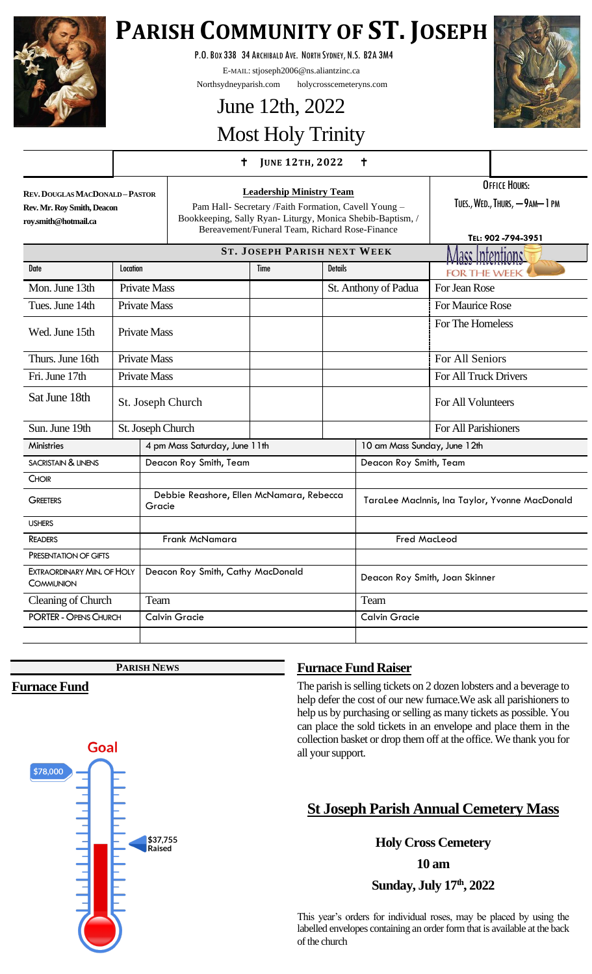

# **PARISH COMMUNITY OF ST. JOSEPH**

P.O.BOX 338 34 ARCHIBALD AVE. NORTH SYDNEY, N.S. B2A 3M4

E-MAIL: stjoseph2006@ns.aliantzinc.ca

Northsydneyparish.com holycrosscemeteryns.com

# June 12th, 2022 Most Holy Trinity

#### **<sup>J</sup>UNE 12TH, <sup>2022</sup>**



**REV.DOUGLAS MACDONALD –PASTOR Rev. Mr. Roy Smith, Deacon roy.smith@hotmail.ca**

**Leadership Ministry Team** Pam Hall- Secretary /Faith Formation, Cavell Young – Bookkeeping, Sally Ryan- Liturgy, Monica Shebib-Baptism, / Bereavement/Funeral Team, Richard Rose-Finance

OFFICE HOURS: TUES., WED., THURS, -9AM-1 PM

**TEL: 902 -794-3951 ST. JOSEPH PARISH NEXT WEEK** acc Intentionc Date **Reserves International Contract Contract Contract Contract Contract Contract Contract Contract Contract Contract Contract Contract Contract Contract Contract Contract Contract Contract Contract Contract Contract Cont FOR THE WEEK** Mon. June 13th Private Mass St. Anthony of Padua For Jean Rose Tues. June 14th Private Mass For Maurice Rose For The Homeless Wed. June 15th Private Mass Thurs. June 16th Private Mass For All Seniors For All Seniors Fri. June 17th Private Mass For All Truck Drivers Sat June 18th St. Joseph Church For All Volunteers Sun. June 19th St. Joseph Church For All Parishioners Ministries 1.1 a pm Mass Saturday, June 11th 10 am Mass Sunday, June 12th SACRISTAIN & LINENS **Deacon Roy Smith, Team** Deacon Roy Smith, Team **CHOIR**  Debbie Reashore, Ellen McNamara, Rebecca **GREETERS** Gracie TaraLee MacInnis, Ina Taylor, Yvonne MacDonald USHERS READERS Frank McNamara Readers Fred MacLeod PRESENTATION OF GIFTS EXTRAORDINARY MIN. OF HOLY Deacon Roy Smith, Cathy MacDonald Deacon Roy Smith, Joan Skinner **COMMUNION** Cleaning of Church Team Team Team PORTER -OPENS CHURCH Calvin Gracie Calvin Gracie

**PARISH NEWS**

## **Furnace Fund**

## **Furnace Fund Raiser**

The parish is selling tickets on 2 dozen lobsters and a beverage to help defer the cost of our new furnace.We ask all parishioners to help us by purchasing or selling as many tickets as possible. You can place the sold tickets in an envelope and place them in the collection basket or drop them off at the office. We thank you for all your support.

## **St Joseph Parish Annual Cemetery Mass**

**Holy Cross Cemetery**

**10 am**

**Sunday, July 17th, 2022**

This year's orders for individual roses, may be placed by using the labelled envelopes containing an order form that is available at the back of the church

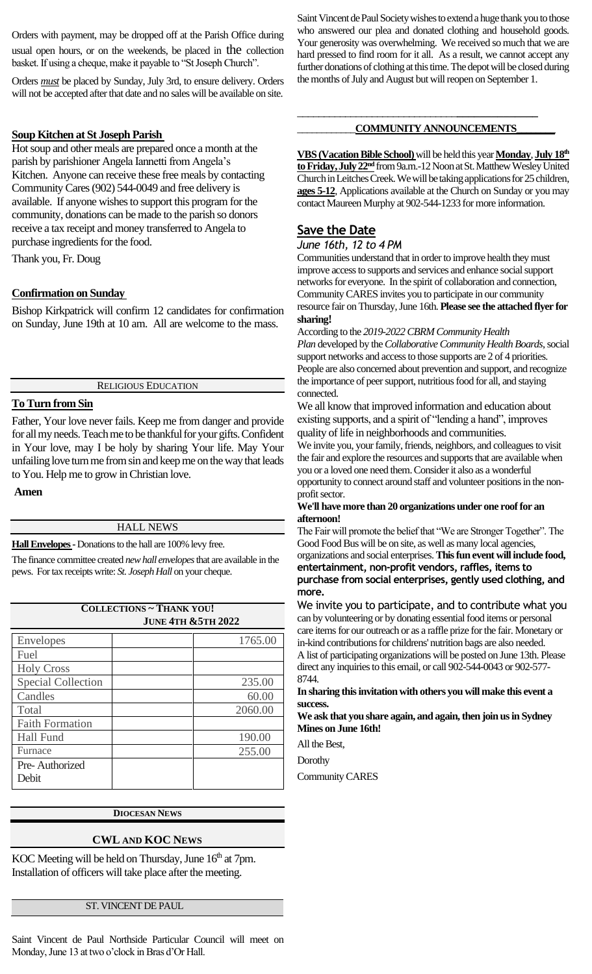Orders with payment, may be dropped off at the Parish Office during usual open hours, or on the weekends, be placed in the collection basket. If using a cheque, make it payable to "St Joseph Church".

Orders *must* be placed by Sunday, July 3rd, to ensure delivery. Orders will not be accepted after that date and no sales will be available on site.

#### **Soup Kitchen at St Joseph Parish**

Hot soup and other meals are prepared once a month at the parish by parishioner Angela Iannetti from Angela's Kitchen. Anyone can receive these free meals by contacting Community Cares(902) 544-0049 and free delivery is available. If anyone wishes to support this program for the community, donations can be made to the parish so donors receive a tax receipt and money transferred to Angela to purchase ingredients for the food.

Thank you, Fr. Doug

#### **Confirmation on Sunday**

Bishop Kirkpatrick will confirm 12 candidates for confirmation on Sunday, June 19th at 10 am. All are welcome to the mass.

RELIGIOUS EDUCATION

#### **To Turn from Sin**

Father, Your love never fails. Keep me from danger and provide for all my needs. Teach me to be thankful for your gifts. Confident in Your love, may I be holy by sharing Your life. May Your unfailing love turn me from sin and keep me on the way that leads to You. Help me to grow in Christian love.

#### **Amen**

#### HALL NEWS

**Hall Envelopes -**Donations to the hall are 100% levy free.

The finance committee created *new hall envelopes*that are available in the pews. For tax receipts write: *St. Joseph Hall* on your cheque.

| <b>COLLECTIONS ~ THANK YOU!</b><br><b>JUNE 4TH &amp; 5TH 2022</b> |         |
|-------------------------------------------------------------------|---------|
| <b>Envelopes</b>                                                  | 1765.00 |
| Fuel                                                              |         |
| <b>Holy Cross</b>                                                 |         |
| <b>Special Collection</b>                                         | 235.00  |
| Candles                                                           | 60.00   |
| Total                                                             | 2060.00 |
| <b>Faith Formation</b>                                            |         |
| <b>Hall Fund</b>                                                  | 190.00  |
| Furnace                                                           | 255.00  |
| Pre-Authorized<br>Debit                                           |         |
|                                                                   |         |

#### **DIOCESAN NEWS**

#### **CWL AND KOC NEWS**

KOC Meeting will be held on Thursday, June  $16<sup>th</sup>$  at 7pm. Installation of officers will take place after the meeting.

#### ST. VINCENT DE PAUL

Saint Vincent de Paul Northside Particular Council will meet on Monday, June 13 at two o'clock in Bras d'Or Hall.

Saint Vincent de Paul Society wishes to extend a huge thank you to those who answered our plea and donated clothing and household goods. Your generosity was overwhelming. We received so much that we are hard pressed to find room for it all. As a result, we cannot accept any further donations of clothing at this time. The depot will be closed during the months of July and August but will reopen on September 1.

#### *\_\_\_\_\_\_\_\_\_\_\_\_***COMMUNITY ANNOUNCEMENTS\_\_\_\_\_\_\_\_**

\_\_\_\_\_\_\_\_\_\_\_\_\_\_\_\_\_\_\_\_\_\_\_\_\_\_\_\_\_\_**\_\_\_\_\_\_\_\_\_\_\_\_\_\_** 

**VBS (Vacation Bible School)** will be held this year **Monday**, **July 18th to Friday, July 22nd** from 9a.m.-12 Noon at St. Matthew Wesley United Church in Leitches Creek. We will be taking applications for 25 children, **ages 5-12**, Applications available at the Church on Sunday or you may contact Maureen Murphy at 902-544-1233 for more information.

#### **Save the Date**

*June 16th, 12 to 4 PM*

Communities understand that in order to improve health they must improve access to supports and services and enhance social support networks for everyone. In the spirit of collaboration and connection, Community CARES invites you to participate in our community resource fair on Thursday, June 16th. **Please see the attached flyer for sharing!**

According to the *2019-2022 CBRM Community Health Plan* developed by the*Collaborative Community Health Boards*, social support networks and access to those supports are 2 of 4 priorities. People are also concerned about prevention and support, and recognize the importance of peer support, nutritious food for all, and staying connected.

We all know that improved information and education about existing supports, and a spirit of "lending a hand", improves quality of life in neighborhoods and communities.

We invite you, your family, friends, neighbors, and colleagues to visit the fair and explore the resources and supports that are available when you or a loved one need them. Consider it also as a wonderful opportunity to connect around staff and volunteer positions in the nonprofit sector.

**We'll have more than 20 organizations under one roof for an afternoon!**

The Fair will promote the belief that "We are Stronger Together". The Good Food Bus will be on site, as well as many local agencies, organizations and social enterprises.**This fun event will include food, entertainment, non-profit vendors, raffles, items to purchase from social enterprises, gently used clothing, and more.** 

We invite you to participate, and to contribute what you can by volunteering or by donating essential food items or personal care items for our outreach or as a raffle prize for the fair. Monetary or in-kind contributions for childrens' nutrition bags are also needed. A list of participating organizations will be posted on June 13th. Please direct any inquiries to this email, or call 902-544-0043 or 902-577- 8744.

**In sharing this invitation with others you will make this event a success.** 

**We ask that you share again, and again, then join us in Sydney Mines on June 16th!**

All the Best,

**Dorothy** 

Community CARES